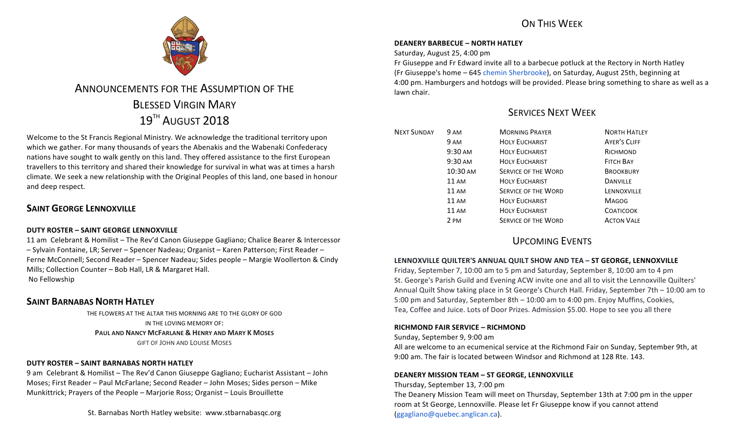## ON THIS WFFK



# ANNOUNCEMENTS FOR THE ASSUMPTION OF THE **BLESSED VIRGIN MARY** 19<sup>TH</sup> AUGUST 2018

Welcome to the St Francis Regional Ministry. We acknowledge the traditional territory upon which we gather. For many thousands of years the Abenakis and the Wabenaki Confederacy nations have sought to walk gently on this land. They offered assistance to the first European travellers to this territory and shared their knowledge for survival in what was at times a harsh climate. We seek a new relationship with the Original Peoples of this land, one based in honour and deep respect.

## **SAINT GEORGE LENNOXVILLE**

## **DUTY ROSTER – SAINT GEORGE LENNOXVILLE**

11 am Celebrant & Homilist – The Rev'd Canon Giuseppe Gagliano; Chalice Bearer & Intercessor – Sylvain Fontaine, LR; Server – Spencer Nadeau; Organist – Karen Patterson; First Reader – Ferne McConnell; Second Reader – Spencer Nadeau; Sides people – Margie Woollerton & Cindy Mills; Collection Counter - Bob Hall, LR & Margaret Hall. No Fellowship

## **SAINT BARNABAS NORTH HATLEY**

THE FLOWERS AT THE ALTAR THIS MORNING ARE TO THE GLORY OF GOD IN THE LOVING MEMORY OF: **PAUL AND NANCY MCFARLANE & HENRY AND MARY K MOSES GIFT OF JOHN AND LOUISE MOSES** 

## **DUTY ROSTER – SAINT BARNABAS NORTH HATLEY**

9 am Celebrant & Homilist – The Rev'd Canon Giuseppe Gagliano; Eucharist Assistant – John Moses; First Reader - Paul McFarlane; Second Reader - John Moses; Sides person - Mike Munkittrick; Prayers of the People – Marjorie Ross; Organist – Louis Brouillette

St. Barnabas North Hatley website: www.stbarnabasqc.org

#### **DEANERY BARBECUE – NORTH HATLEY**

Saturday, August 25, 4:00 pm

Fr Giuseppe and Fr Edward invite all to a barbecue potluck at the Rectory in North Hatley (Fr Giuseppe's home - 645 chemin Sherbrooke), on Saturday, August 25th, beginning at 4:00 pm. Hamburgers and hotdogs will be provided. Please bring something to share as well as a lawn chair.

## SERVICES NEXT WEEK

| <b>NEXT SUNDAY</b> | 9 AM              | <b>MORNING PRAYER</b>      | <b>NORTH HATLEY</b> |
|--------------------|-------------------|----------------------------|---------------------|
|                    | 9 AM              | <b>HOLY EUCHARIST</b>      | <b>AYER'S CLIFF</b> |
|                    | 9:30 AM           | <b>HOLY EUCHARIST</b>      | RICHMOND            |
|                    | $9:30 \text{ AM}$ | <b>HOLY EUCHARIST</b>      | <b>FITCH BAY</b>    |
|                    | 10:30 AM          | <b>SERVICE OF THE WORD</b> | <b>BROOKBURY</b>    |
|                    | $11 \text{ AM}$   | <b>HOLY EUCHARIST</b>      | <b>DANVILLE</b>     |
|                    | $11 \text{ AM}$   | <b>SERVICE OF THE WORD</b> | LENNOXVILLE         |
|                    | <b>11 AM</b>      | <b>HOLY EUCHARIST</b>      | <b>MAGOG</b>        |
|                    | 11 AM             | <b>HOLY EUCHARIST</b>      | <b>COATICOOK</b>    |
|                    | 2 PM              | <b>SERVICE OF THE WORD</b> | <b>ACTON VALE</b>   |

## UPCOMING EVENTS

## LENNOXVILLE QUILTER'S ANNUAL QUILT SHOW AND TEA - ST GEORGE, LENNOXVILLE

Friday, September 7, 10:00 am to 5 pm and Saturday, September 8, 10:00 am to 4 pm St. George's Parish Guild and Evening ACW invite one and all to visit the Lennoxville Quilters' Annual Quilt Show taking place in St George's Church Hall. Friday, September 7th - 10:00 am to 5:00 pm and Saturday, September 8th  $-$  10:00 am to 4:00 pm. Enjoy Muffins, Cookies, Tea, Coffee and Juice. Lots of Door Prizes. Admission \$5.00. Hope to see you all there

#### **RICHMOND FAIR SERVICE - RICHMOND**

Sunday, September 9, 9:00 am

All are welcome to an ecumenical service at the Richmond Fair on Sunday, September 9th, at 9:00 am. The fair is located between Windsor and Richmond at 128 Rte. 143.

#### **DEANERY MISSION TEAM – ST GEORGE, LENNOXVILLE**

#### Thursday, September 13, 7:00 pm

The Deanery Mission Team will meet on Thursday, September 13th at 7:00 pm in the upper room at St George, Lennoxville. Please let Fr Giuseppe know if you cannot attend (ggagliano@quebec.anglican.ca).